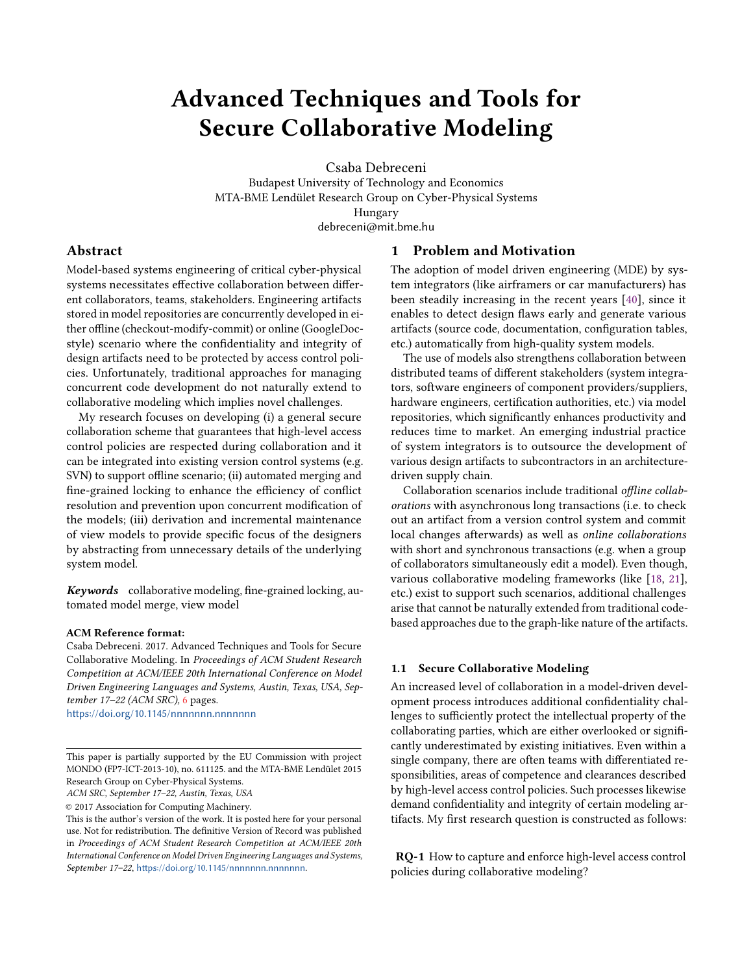# Advanced Techniques and Tools for Secure Collaborative Modeling

Csaba Debreceni

Budapest University of Technology and Economics MTA-BME Lendület Research Group on Cyber-Physical Systems Hungary debreceni@mit.bme.hu

## Abstract

Model-based systems engineering of critical cyber-physical systems necessitates effective collaboration between different collaborators, teams, stakeholders. Engineering artifacts stored in model repositories are concurrently developed in either offline (checkout-modify-commit) or online (GoogleDocstyle) scenario where the confidentiality and integrity of design artifacts need to be protected by access control policies. Unfortunately, traditional approaches for managing concurrent code development do not naturally extend to collaborative modeling which implies novel challenges.

My research focuses on developing (i) a general secure collaboration scheme that guarantees that high-level access control policies are respected during collaboration and it can be integrated into existing version control systems (e.g. SVN) to support offline scenario; (ii) automated merging and fine-grained locking to enhance the efficiency of conflict resolution and prevention upon concurrent modification of the models; (iii) derivation and incremental maintenance of view models to provide specific focus of the designers by abstracting from unnecessary details of the underlying system model.

Keywords collaborative modeling, fine-grained locking, automated model merge, view model

#### ACM Reference format:

Csaba Debreceni. 2017. Advanced Techniques and Tools for Secure Collaborative Modeling. In Proceedings of ACM Student Research Competition at ACM/IEEE 20th International Conference on Model Driven Engineering Languages and Systems, Austin, Texas, USA, September 17–22 (ACM SRC), [6](#page-5-0) pages.

https://doi.org/10.1145/nnnnnnnn.nnnnnnn

ACM SRC, September 17–22, Austin, Texas, USA

© 2017 Association for Computing Machinery.

## 1 Problem and Motivation

The adoption of model driven engineering (MDE) by system integrators (like airframers or car manufacturers) has been steadily increasing in the recent years [\[40\]](#page-5-1), since it enables to detect design flaws early and generate various artifacts (source code, documentation, configuration tables, etc.) automatically from high-quality system models.

The use of models also strengthens collaboration between distributed teams of different stakeholders (system integrators, software engineers of component providers/suppliers, hardware engineers, certification authorities, etc.) via model repositories, which significantly enhances productivity and reduces time to market. An emerging industrial practice of system integrators is to outsource the development of various design artifacts to subcontractors in an architecturedriven supply chain.

Collaboration scenarios include traditional offline collaborations with asynchronous long transactions (i.e. to check out an artifact from a version control system and commit local changes afterwards) as well as online collaborations with short and synchronous transactions (e.g. when a group of collaborators simultaneously edit a model). Even though, various collaborative modeling frameworks (like [\[18,](#page-5-2) [21\]](#page-5-3), etc.) exist to support such scenarios, additional challenges arise that cannot be naturally extended from traditional codebased approaches due to the graph-like nature of the artifacts.

#### 1.1 Secure Collaborative Modeling

An increased level of collaboration in a model-driven development process introduces additional confidentiality challenges to sufficiently protect the intellectual property of the collaborating parties, which are either overlooked or significantly underestimated by existing initiatives. Even within a single company, there are often teams with differentiated responsibilities, areas of competence and clearances described by high-level access control policies. Such processes likewise demand confidentiality and integrity of certain modeling artifacts. My first research question is constructed as follows:

<span id="page-0-0"></span>RQ-1 How to capture and enforce high-level access control policies during collaborative modeling?

This paper is partially supported by the EU Commission with project MONDO (FP7-ICT-2013-10), no. 611125. and the MTA-BME Lendület 2015 Research Group on Cyber-Physical Systems.

This is the author's version of the work. It is posted here for your personal use. Not for redistribution. The definitive Version of Record was published in Proceedings of ACM Student Research Competition at ACM/IEEE 20th International Conference on Model Driven Engineering Languages and Systems, September 17-22, <https://doi.org/10.1145/nnnnnnn.nnnnnnn>n.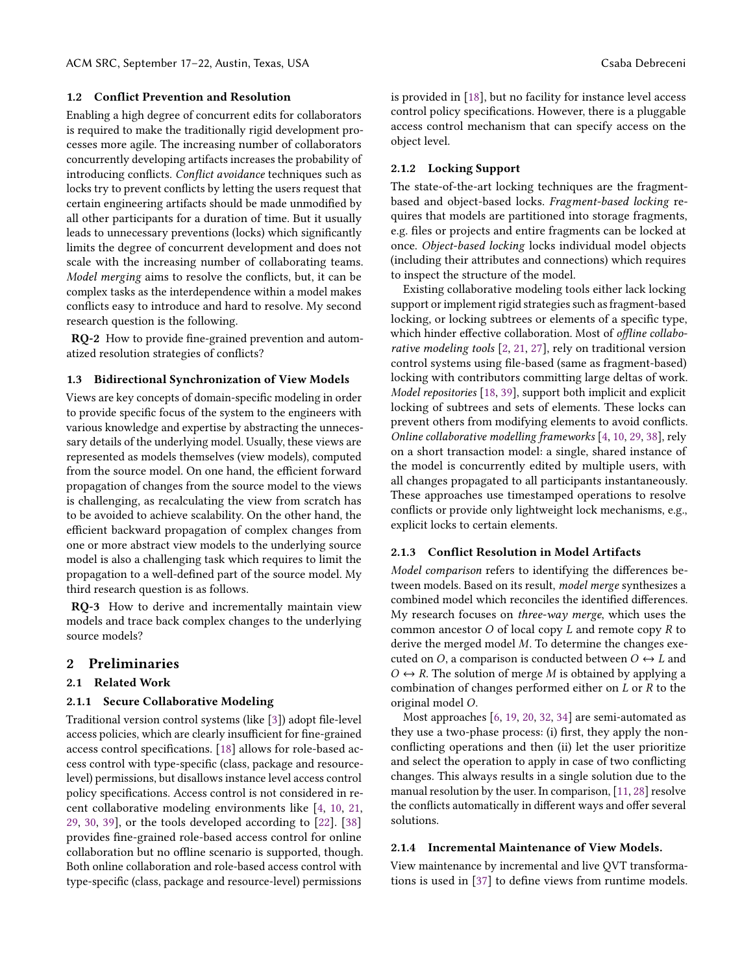#### 1.2 Conflict Prevention and Resolution

Enabling a high degree of concurrent edits for collaborators is required to make the traditionally rigid development processes more agile. The increasing number of collaborators concurrently developing artifacts increases the probability of introducing conflicts. Conflict avoidance techniques such as locks try to prevent conflicts by letting the users request that certain engineering artifacts should be made unmodified by all other participants for a duration of time. But it usually leads to unnecessary preventions (locks) which significantly limits the degree of concurrent development and does not scale with the increasing number of collaborating teams. Model merging aims to resolve the conflicts, but, it can be complex tasks as the interdependence within a model makes conflicts easy to introduce and hard to resolve. My second research question is the following.

<span id="page-1-0"></span>RQ-2 How to provide fine-grained prevention and automatized resolution strategies of conflicts?

#### 1.3 Bidirectional Synchronization of View Models

Views are key concepts of domain-specific modeling in order to provide specific focus of the system to the engineers with various knowledge and expertise by abstracting the unnecessary details of the underlying model. Usually, these views are represented as models themselves (view models), computed from the source model. On one hand, the efficient forward propagation of changes from the source model to the views is challenging, as recalculating the view from scratch has to be avoided to achieve scalability. On the other hand, the efficient backward propagation of complex changes from one or more abstract view models to the underlying source model is also a challenging task which requires to limit the propagation to a well-defined part of the source model. My third research question is as follows.

<span id="page-1-1"></span>RQ-3 How to derive and incrementally maintain view models and trace back complex changes to the underlying source models?

## 2 Preliminaries

## 2.1 Related Work

#### 2.1.1 Secure Collaborative Modeling

Traditional version control systems (like [\[3\]](#page-5-4)) adopt file-level access policies, which are clearly insufficient for fine-grained access control specifications. [\[18\]](#page-5-2) allows for role-based access control with type-specific (class, package and resourcelevel) permissions, but disallows instance level access control policy specifications. Access control is not considered in recent collaborative modeling environments like [\[4,](#page-5-5) [10,](#page-5-6) [21,](#page-5-3) [29,](#page-5-7) [30,](#page-5-8) [39\]](#page-5-9), or the tools developed according to [\[22\]](#page-5-10). [\[38\]](#page-5-11) provides fine-grained role-based access control for online collaboration but no offline scenario is supported, though. Both online collaboration and role-based access control with type-specific (class, package and resource-level) permissions

is provided in [\[18\]](#page-5-2), but no facility for instance level access control policy specifications. However, there is a pluggable access control mechanism that can specify access on the object level.

#### 2.1.2 Locking Support

The state-of-the-art locking techniques are the fragmentbased and object-based locks. Fragment-based locking requires that models are partitioned into storage fragments, e.g. files or projects and entire fragments can be locked at once. Object-based locking locks individual model objects (including their attributes and connections) which requires to inspect the structure of the model.

Existing collaborative modeling tools either lack locking support or implement rigid strategies such as fragment-based locking, or locking subtrees or elements of a specific type, which hinder effective collaboration. Most of offline collaborative modeling tools [\[2,](#page-5-12) [21,](#page-5-3) [27\]](#page-5-13), rely on traditional version control systems using file-based (same as fragment-based) locking with contributors committing large deltas of work. Model repositories [\[18,](#page-5-2) [39\]](#page-5-9), support both implicit and explicit locking of subtrees and sets of elements. These locks can prevent others from modifying elements to avoid conflicts. Online collaborative modelling frameworks [\[4,](#page-5-5) [10,](#page-5-6) [29,](#page-5-7) [38\]](#page-5-11), rely on a short transaction model: a single, shared instance of the model is concurrently edited by multiple users, with all changes propagated to all participants instantaneously. These approaches use timestamped operations to resolve conflicts or provide only lightweight lock mechanisms, e.g., explicit locks to certain elements.

#### 2.1.3 Conflict Resolution in Model Artifacts

Model comparison refers to identifying the differences between models. Based on its result, model merge synthesizes a combined model which reconciles the identified differences. My research focuses on three-way merge, which uses the common ancestor  $O$  of local copy  $L$  and remote copy  $R$  to derive the merged model M. To determine the changes executed on O, a comparison is conducted between  $O \leftrightarrow L$  and  $O \leftrightarrow R$ . The solution of merge M is obtained by applying a combination of changes performed either on  $L$  or  $R$  to the original model O.

Most approaches [\[6,](#page-5-14) [19,](#page-5-15) [20,](#page-5-16) [32,](#page-5-17) [34\]](#page-5-18) are semi-automated as they use a two-phase process: (i) first, they apply the nonconflicting operations and then (ii) let the user prioritize and select the operation to apply in case of two conflicting changes. This always results in a single solution due to the manual resolution by the user. In comparison, [\[11,](#page-5-19) [28\]](#page-5-20) resolve the conflicts automatically in different ways and offer several solutions.

#### 2.1.4 Incremental Maintenance of View Models.

View maintenance by incremental and live QVT transformations is used in [\[37\]](#page-5-21) to define views from runtime models.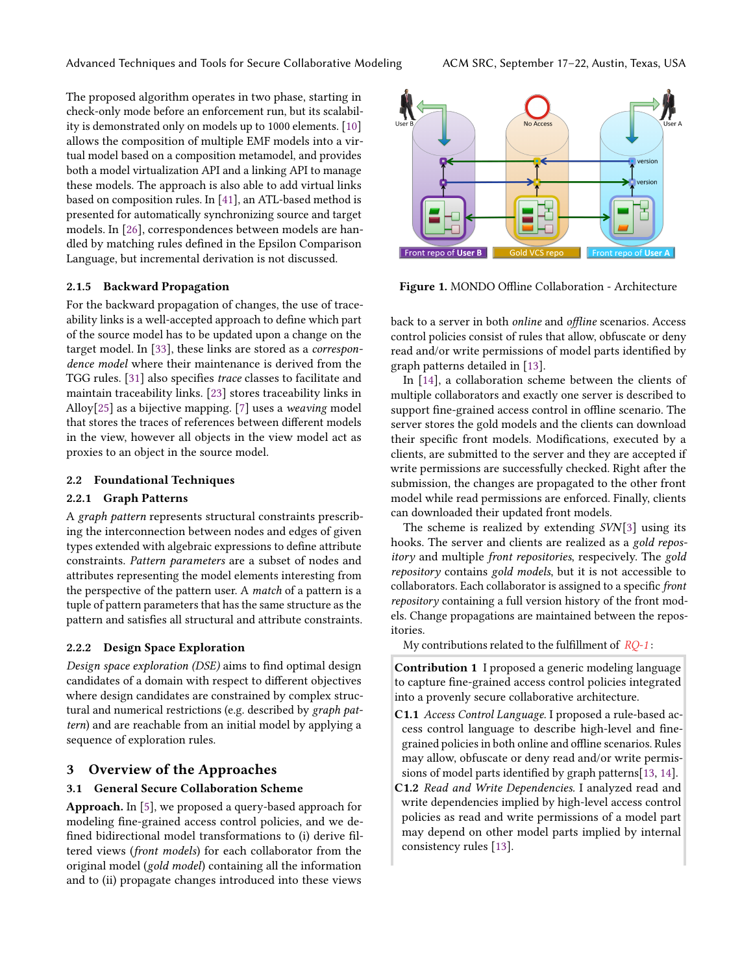The proposed algorithm operates in two phase, starting in check-only mode before an enforcement run, but its scalability is demonstrated only on models up to 1000 elements. [\[10\]](#page-5-6) allows the composition of multiple EMF models into a virtual model based on a composition metamodel, and provides both a model virtualization API and a linking API to manage these models. The approach is also able to add virtual links based on composition rules. In [\[41\]](#page-5-22), an ATL-based method is presented for automatically synchronizing source and target models. In [\[26\]](#page-5-23), correspondences between models are handled by matching rules defined in the Epsilon Comparison Language, but incremental derivation is not discussed.

## 2.1.5 Backward Propagation

For the backward propagation of changes, the use of traceability links is a well-accepted approach to define which part of the source model has to be updated upon a change on the target model. In [\[33\]](#page-5-24), these links are stored as a correspondence model where their maintenance is derived from the TGG rules. [\[31\]](#page-5-25) also specifies trace classes to facilitate and maintain traceability links. [\[23\]](#page-5-26) stores traceability links in Alloy[\[25\]](#page-5-27) as a bijective mapping. [\[7\]](#page-5-28) uses a weaving model that stores the traces of references between different models in the view, however all objects in the view model act as proxies to an object in the source model.

#### 2.2 Foundational Techniques

#### 2.2.1 Graph Patterns

A graph pattern represents structural constraints prescribing the interconnection between nodes and edges of given types extended with algebraic expressions to define attribute constraints. Pattern parameters are a subset of nodes and attributes representing the model elements interesting from the perspective of the pattern user. A match of a pattern is a tuple of pattern parameters that has the same structure as the pattern and satisfies all structural and attribute constraints.

## 2.2.2 Design Space Exploration

Design space exploration (DSE) aims to find optimal design candidates of a domain with respect to different objectives where design candidates are constrained by complex structural and numerical restrictions (e.g. described by graph pattern) and are reachable from an initial model by applying a sequence of exploration rules.

## 3 Overview of the Approaches

#### 3.1 General Secure Collaboration Scheme

Approach. In [\[5\]](#page-5-29), we proposed a query-based approach for modeling fine-grained access control policies, and we defined bidirectional model transformations to (i) derive filtered views (front models) for each collaborator from the original model (gold model) containing all the information and to (ii) propagate changes introduced into these views



Figure 1. MONDO Offline Collaboration - Architecture

back to a server in both online and offline scenarios. Access control policies consist of rules that allow, obfuscate or deny read and/or write permissions of model parts identified by graph patterns detailed in [\[13\]](#page-5-30).

In [\[14\]](#page-5-31), a collaboration scheme between the clients of multiple collaborators and exactly one server is described to support fine-grained access control in offline scenario. The server stores the gold models and the clients can download their specific front models. Modifications, executed by a clients, are submitted to the server and they are accepted if write permissions are successfully checked. Right after the submission, the changes are propagated to the other front model while read permissions are enforced. Finally, clients can downloaded their updated front models.

The scheme is realized by extending SVN[\[3\]](#page-5-4) using its hooks. The server and clients are realized as a gold repository and multiple front repositories, respecively. The gold repository contains gold models, but it is not accessible to collaborators. Each collaborator is assigned to a specific front repository containing a full version history of the front models. Change propagations are maintained between the repositories.

My contributions related to the fulfillment of  $RQ-1$ :

Contribution 1 I proposed a generic modeling language to capture fine-grained access control policies integrated into a provenly secure collaborative architecture.

- C1.1 Access Control Language. I proposed a rule-based access control language to describe high-level and finegrained policies in both online and offline scenarios. Rules may allow, obfuscate or deny read and/or write permissions of model parts identified by graph patterns[\[13,](#page-5-30) [14\]](#page-5-31).
- C1.2 Read and Write Dependencies. I analyzed read and write dependencies implied by high-level access control policies as read and write permissions of a model part may depend on other model parts implied by internal consistency rules [\[13\]](#page-5-30).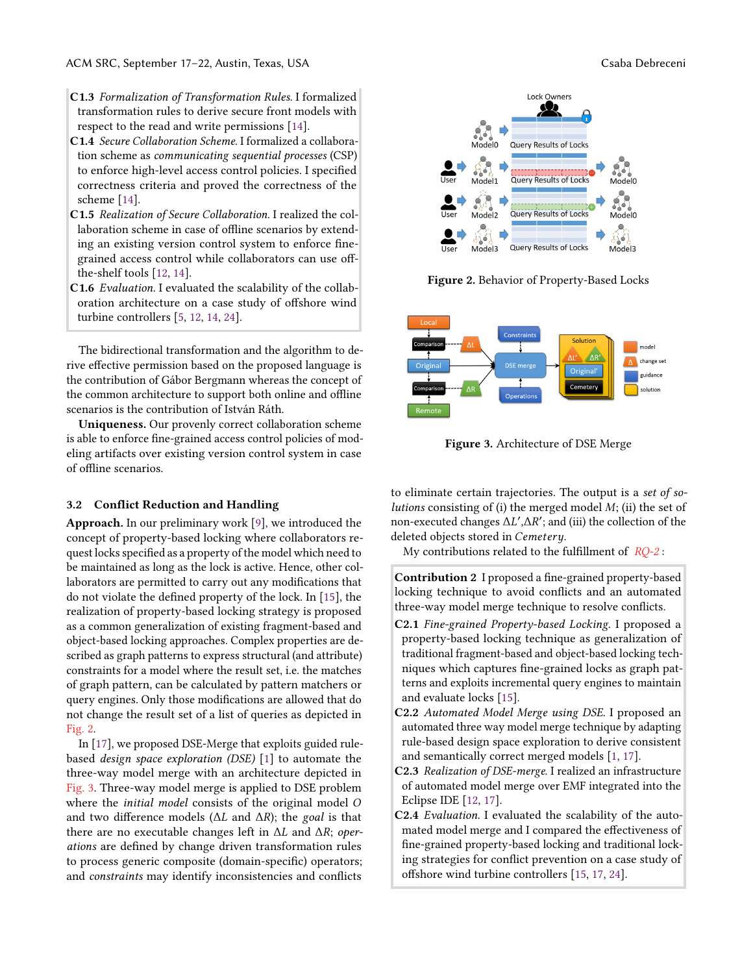- C1.3 Formalization of Transformation Rules. I formalized transformation rules to derive secure front models with respect to the read and write permissions [\[14\]](#page-5-31).
- C1.4 Secure Collaboration Scheme. I formalized a collaboration scheme as communicating sequential processes (CSP) to enforce high-level access control policies. I specified correctness criteria and proved the correctness of the scheme [\[14\]](#page-5-31).
- C1.5 Realization of Secure Collaboration. I realized the collaboration scheme in case of offline scenarios by extending an existing version control system to enforce finegrained access control while collaborators can use offthe-shelf tools [\[12,](#page-5-32) [14\]](#page-5-31).
- C1.6 Evaluation. I evaluated the scalability of the collaboration architecture on a case study of offshore wind turbine controllers [\[5,](#page-5-29) [12,](#page-5-32) [14,](#page-5-31) [24\]](#page-5-33).

The bidirectional transformation and the algorithm to derive effective permission based on the proposed language is the contribution of Gábor Bergmann whereas the concept of the common architecture to support both online and offline scenarios is the contribution of István Ráth.

Uniqueness. Our provenly correct collaboration scheme is able to enforce fine-grained access control policies of modeling artifacts over existing version control system in case of offline scenarios.

#### 3.2 Conflict Reduction and Handling

Approach. In our preliminary work [\[9\]](#page-5-34), we introduced the concept of property-based locking where collaborators request locks specified as a property of the model which need to be maintained as long as the lock is active. Hence, other collaborators are permitted to carry out any modifications that do not violate the defined property of the lock. In [\[15\]](#page-5-35), the realization of property-based locking strategy is proposed as a common generalization of existing fragment-based and object-based locking approaches. Complex properties are described as graph patterns to express structural (and attribute) constraints for a model where the result set, i.e. the matches of graph pattern, can be calculated by pattern matchers or query engines. Only those modifications are allowed that do not change the result set of a list of queries as depicted in [Fig. 2.](#page-3-0)

In [\[17\]](#page-5-36), we proposed DSE-Merge that exploits guided rulebased design space exploration (DSE) [\[1\]](#page-5-37) to automate the three-way model merge with an architecture depicted in [Fig. 3.](#page-3-1) Three-way model merge is applied to DSE problem where the *initial model* consists of the original model O and two difference models ( $\Delta L$  and  $\Delta R$ ); the goal is that there are no executable changes left in ∆L and ∆R; operations are defined by change driven transformation rules to process generic composite (domain-specific) operators; and constraints may identify inconsistencies and conflicts

<span id="page-3-0"></span>

Figure 2. Behavior of Property-Based Locks

<span id="page-3-1"></span>

Figure 3. Architecture of DSE Merge

to eliminate certain trajectories. The output is a set of solutions consisting of (i) the merged model  $M$ ; (ii) the set of non-executed changes  $\Delta L', \Delta R'$ ; and (iii) the collection of the deleted objects stored in *Cemeteru* deleted objects stored in Cemetery.

My contributions related to the fulfillment of  $RO-2$ :

Contribution 2 I proposed a fine-grained property-based locking technique to avoid conflicts and an automated three-way model merge technique to resolve conflicts.

- C2.1 Fine-grained Property-based Locking. I proposed a property-based locking technique as generalization of traditional fragment-based and object-based locking techniques which captures fine-grained locks as graph patterns and exploits incremental query engines to maintain and evaluate locks [\[15\]](#page-5-35).
- C2.2 Automated Model Merge using DSE. I proposed an automated three way model merge technique by adapting rule-based design space exploration to derive consistent and semantically correct merged models [\[1,](#page-5-37) [17\]](#page-5-36).
- C2.3 Realization of DSE-merge. I realized an infrastructure of automated model merge over EMF integrated into the Eclipse IDE [\[12,](#page-5-32) [17\]](#page-5-36).
- C2.4 Evaluation. I evaluated the scalability of the automated model merge and I compared the effectiveness of fine-grained property-based locking and traditional locking strategies for conflict prevention on a case study of offshore wind turbine controllers [\[15,](#page-5-35) [17,](#page-5-36) [24\]](#page-5-33).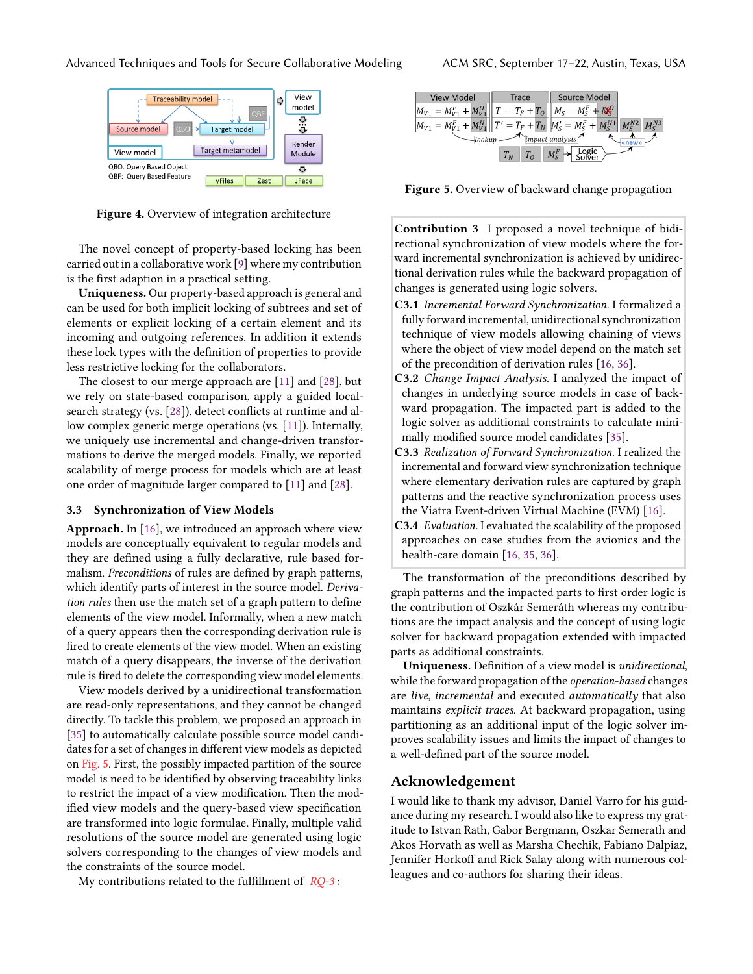

Figure 4. Overview of integration architecture

The novel concept of property-based locking has been carried out in a collaborative work [\[9\]](#page-5-34) where my contribution is the first adaption in a practical setting.

Uniqueness. Our property-based approach is general and can be used for both implicit locking of subtrees and set of elements or explicit locking of a certain element and its incoming and outgoing references. In addition it extends these lock types with the definition of properties to provide less restrictive locking for the collaborators.

The closest to our merge approach are [\[11\]](#page-5-19) and [\[28\]](#page-5-20), but we rely on state-based comparison, apply a guided localsearch strategy (vs. [\[28\]](#page-5-20)), detect conflicts at runtime and allow complex generic merge operations (vs. [\[11\]](#page-5-19)). Internally, we uniquely use incremental and change-driven transformations to derive the merged models. Finally, we reported scalability of merge process for models which are at least one order of magnitude larger compared to [\[11\]](#page-5-19) and [\[28\]](#page-5-20).

#### 3.3 Synchronization of View Models

Approach. In [\[16\]](#page-5-38), we introduced an approach where view models are conceptually equivalent to regular models and they are defined using a fully declarative, rule based formalism. Preconditions of rules are defined by graph patterns, which identify parts of interest in the source model. Derivation rules then use the match set of a graph pattern to define elements of the view model. Informally, when a new match of a query appears then the corresponding derivation rule is fired to create elements of the view model. When an existing match of a query disappears, the inverse of the derivation rule is fired to delete the corresponding view model elements.

View models derived by a unidirectional transformation are read-only representations, and they cannot be changed directly. To tackle this problem, we proposed an approach in [\[35\]](#page-5-39) to automatically calculate possible source model candidates for a set of changes in different view models as depicted on [Fig. 5.](#page-4-0) First, the possibly impacted partition of the source model is need to be identified by observing traceability links to restrict the impact of a view modification. Then the modified view models and the query-based view specification are transformed into logic formulae. Finally, multiple valid resolutions of the source model are generated using logic solvers corresponding to the changes of view models and the constraints of the source model.

My contributions related to the fulfillment of  $RO-3$ :

<span id="page-4-0"></span>

Figure 5. Overview of backward change propagation

Contribution 3 I proposed a novel technique of bidirectional synchronization of view models where the forward incremental synchronization is achieved by unidirectional derivation rules while the backward propagation of changes is generated using logic solvers.

- C3.1 Incremental Forward Synchronization. I formalized a fully forward incremental, unidirectional synchronization technique of view models allowing chaining of views where the object of view model depend on the match set of the precondition of derivation rules [\[16,](#page-5-38) [36\]](#page-5-40).
- C3.2 Change Impact Analysis. I analyzed the impact of changes in underlying source models in case of backward propagation. The impacted part is added to the logic solver as additional constraints to calculate minimally modified source model candidates [\[35\]](#page-5-39).
- C3.3 Realization of Forward Synchronization. I realized the incremental and forward view synchronization technique where elementary derivation rules are captured by graph patterns and the reactive synchronization process uses the Viatra Event-driven Virtual Machine (EVM) [\[16\]](#page-5-38).
- C3.4 Evaluation. I evaluated the scalability of the proposed approaches on case studies from the avionics and the health-care domain [\[16,](#page-5-38) [35,](#page-5-39) [36\]](#page-5-40).

The transformation of the preconditions described by graph patterns and the impacted parts to first order logic is the contribution of Oszkár Semeráth whereas my contributions are the impact analysis and the concept of using logic solver for backward propagation extended with impacted parts as additional constraints.

Uniqueness. Definition of a view model is unidirectional, while the forward propagation of the operation-based changes are live, incremental and executed automatically that also maintains explicit traces. At backward propagation, using partitioning as an additional input of the logic solver improves scalability issues and limits the impact of changes to a well-defined part of the source model.

#### Acknowledgement

I would like to thank my advisor, Daniel Varro for his guidance during my research. I would also like to express my gratitude to Istvan Rath, Gabor Bergmann, Oszkar Semerath and Akos Horvath as well as Marsha Chechik, Fabiano Dalpiaz, Jennifer Horkoff and Rick Salay along with numerous colleagues and co-authors for sharing their ideas.